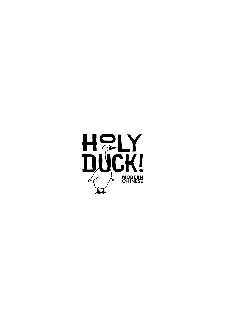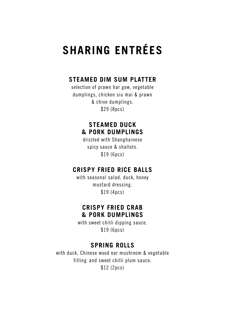# **SHARING ENTRÉES**

## **STEAMED DIM SUM PLATTER**

selection of prawn har gow, vegetable dumplings, chicken siu mai & prawn & chive dumplings. \$29 (8pcs)

#### **STEAMED DUCK & PORK DUMPLINGS**

drizzled with Shanghainese spicy sauce & shallots. \$19 (6pcs)

#### **CRISPY FRIED RICE BALLS**

with seasonal salad, duck, honey mustard dressing. \$19 (4pcs)

#### **CRISPY FRIED CRAB & PORK DUMPLINGS**

with sweet chilli dipping sauce. \$19 (6pcs)

## **SPRING ROLLS**

with duck, Chinese wood ear mushroom & vegetable filling and sweet chilli plum sauce. \$12 (2pcs)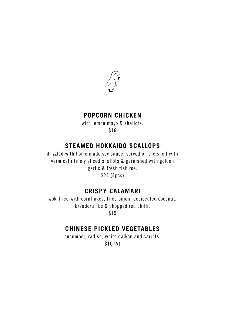

### **POPCORN CHICKEN**

with lemon mayo & shallots. \$16

## **STEAMED HOKKAIDO SCALLOPS**

drizzled with home made soy sauce, served on the shell with vermicelli,finely sliced shallots & garnished with golden garlic & fresh fish roe. \$24 (4pcs)

## **CRISPY CALAMARI**

wok-fried with cornflakes, fried onion, desiccated coconut, breadcrumbs & chopped red chilli.

\$19

## **CHINESE PICKLED VEGETABLES**

cucumber, radish, white daikon and carrots. \$10 (V)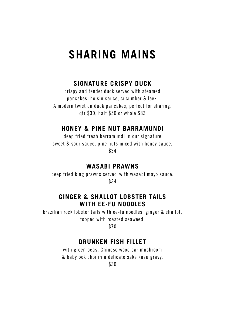## **SHARING MAINS**

## **SIGNATURE CRISPY DUCK**

crispy and tender duck served with steamed pancakes, hoisin sauce, cucumber & leek. A modern twist on duck pancakes, perfect for sharing. qtr \$30, half \$50 or whole \$83

#### **HONEY & PINE NUT BARRAMUNDI**

deep fried fresh barramundi in our signature sweet & sour sauce, pine nuts mixed with honey sauce. \$34

#### **WASABI PRAWNS**

deep fried king prawns served with wasabi mayo sauce. \$34

#### **GINGER & SHALLOT LOBSTER TAILS WITH EE-FU NOODLES**

brazilian rock lobster tails with ee-fu noodles, ginger & shallot, topped with roasted seaweed.

\$70

#### **DRUNKEN FISH FILLET**

with green peas, Chinese wood ear mushroom & baby bok choi in a delicate sake kasu gravy.

\$30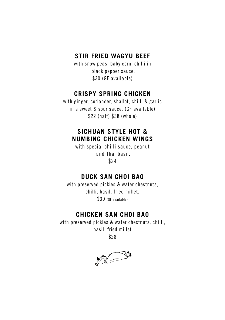## **STIR FRIED WAGYU BEEF**

with snow peas, baby corn, chilli in black pepper sauce. \$30 (GF available)

## **CRISPY SPRING CHICKEN**

with ginger, coriander, shallot, chilli & garlic in a sweet & sour sauce. (GF available) \$22 (half) \$38 (whole)

## **SICHUAN STYLE HOT & NUMBING CHICKEN WINGS**

with special chilli sauce, peanut and Thai basil. \$24

#### **DUCK SAN CHOI BAO**

with preserved pickles & water chestnuts, chilli, basil, fried millet. \$30 (GF available)

## **CHICKEN SAN CHOI BAO**

with preserved pickles & water chestnuts, chilli, basil, fried millet.

\$28

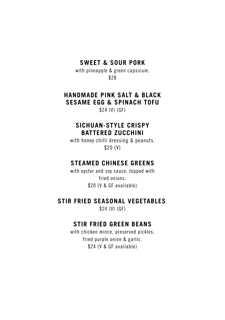### **SWEET & SOUR PORK**

with pineapple & green capsicum. \$28

## **HANDMADE PINK SALT & BLACK SESAME EGG & SPINACH TOFU**

\$24 (V) (GF)

#### **SICHUAN-STYLE CRISPY BATTERED ZUCCHINI**

with honey chilli dressing & peanuts. \$20 (V)

## **STEAMED CHINESE GREENS**

with oyster and soy sauce, topped with fried onions. \$20 (V & GF available)

#### **STIR FRIED SEASONAL VEGETABLES**.

\$24 (V) (GF)

#### **STIR FRIED GREEN BEANS**

with chicken mince, preserved pickles. fried purple onion & garlic. \$24 (V & GF available)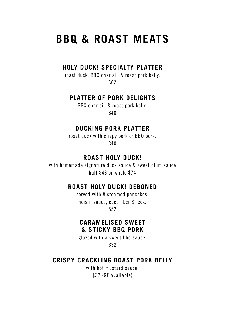## **BBQ & ROAST MEATS**

#### **HOLY DUCK! SPECIALTY PLATTER**

roast duck, BBQ char siu & roast pork belly. \$62

#### **PLATTER OF PORK DELIGHTS**

BBQ char siu & roast pork belly. \$40

#### **DUCKING PORK PLATTER**

roast duck with crispy pork or BBQ pork. \$40

## **ROAST HOLY DUCK!**

with homemade signature duck sauce & sweet plum sauce half \$43 or whole \$74

#### **ROAST HOLY DUCK! DEBONED**

served with 8 steamed pancakes, hoisin sauce, cucumber & leek. \$52

#### **CARAMELISED SWEET & STICKY BBQ PORK**

glazed with a sweet bbq sauce. \$32

#### **CRISPY CRACKLING ROAST PORK BELLY**

with hot mustard sauce. \$32 (GF available)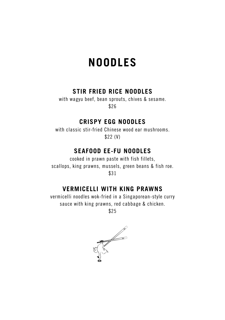## **NOODLES**

## **STIR FRIED RICE NOODLES**

with wagyu beef, bean sprouts, chives & sesame. \$26

## **CRISPY EGG NOODLES**

with classic stir-fried Chinese wood ear mushrooms. \$22 (V)

#### **SEAFOOD EE-FU NOODLES**

cooked in prawn paste with fish fillets, scallops, king prawns, mussels, green beans & fish roe. \$31

## **VERMICELLI WITH KING PRAWNS**

vermicelli noodles wok-fried in a Singaporean-style curry sauce with king prawns, red cabbage & chicken.

\$25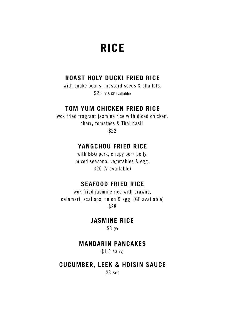## **RICE**

## **ROAST HOLY DUCK! FRIED RICE**

with snake beans, mustard seeds & shallots. \$23 (V & GF available)

## **TOM YUM CHICKEN FRIED RICE**

wok fried fragrant jasmine rice with diced chicken, cherry tomatoes & Thai basil. \$22

## **YANGCHOU FRIED RICE**

with BBQ pork, crispy pork belly, mixed seasonal vegetables & egg. \$20 (V available)

#### **SEAFOOD FRIED RICE**

wok fried jasmine rice with prawns, calamari, scallops, onion & egg. (GF available) \$28

**JASMINE RICE**

 $$3$  (V)

### **MANDARIN PANCAKES**

\$1.5 ea (V)

## **CUCUMBER, LEEK & HOISIN SAUCE**

\$3 set